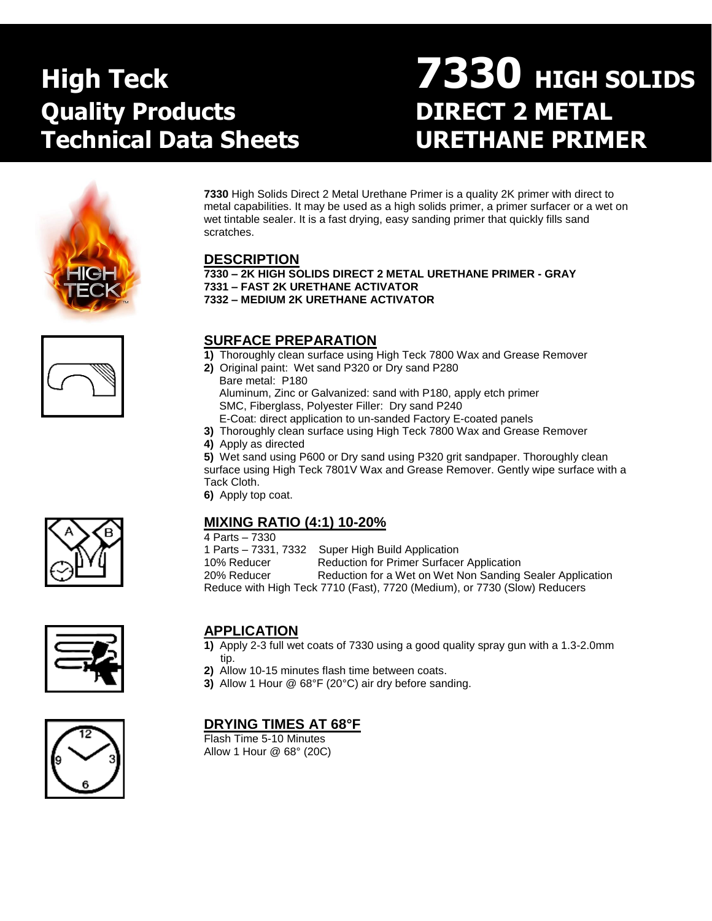# **Quality Products DIRECT 2 METAL Technical Data Sheets URETHANE PRIMER**

# **High Teck 7330 HIGH SOLIDS**





**7330** High Solids Direct 2 Metal Urethane Primer is a quality 2K primer with direct to metal capabilities. It may be used as a high solids primer, a primer surfacer or a wet on wet tintable sealer. It is a fast drying, easy sanding primer that quickly fills sand scratches.

# **DESCRIPTION**

**7330 – 2K HIGH SOLIDS DIRECT 2 METAL URETHANE PRIMER - GRAY 7331 – FAST 2K URETHANE ACTIVATOR**

**7332 – MEDIUM 2K URETHANE ACTIVATOR**

# **SURFACE PREPARATION**

- **1)** Thoroughly clean surface using High Teck 7800 Wax and Grease Remover
- **2)** Original paint: Wet sand P320 or Dry sand P280 Bare metal: P180 Aluminum, Zinc or Galvanized: sand with P180, apply etch primer SMC, Fiberglass, Polyester Filler: Dry sand P240 E-Coat: direct application to un-sanded Factory E-coated panels
- **3)** Thoroughly clean surface using High Teck 7800 Wax and Grease Remover
- **4)** Apply as directed

**5)** Wet sand using P600 or Dry sand using P320 grit sandpaper. Thoroughly clean surface using High Teck 7801V Wax and Grease Remover. Gently wipe surface with a Tack Cloth.

**6)** Apply top coat.

# **MIXING RATIO (4:1) 10-20%**

4 Parts – 7330

1 Parts – 7331, 7332 Super High Build Application 10% Reducer Reduction for Primer Surfacer Application 20% Reducer Reduction for a Wet on Wet Non Sanding Sealer Application Reduce with High Teck 7710 (Fast), 7720 (Medium), or 7730 (Slow) Reducers







# **APPLICATION**

- **1)** Apply 2-3 full wet coats of 7330 using a good quality spray gun with a 1.3-2.0mm tip.
- **2)** Allow 10-15 minutes flash time between coats.
- **3)** Allow 1 Hour @ 68°F (20°C) air dry before sanding.

# **DRYING TIMES AT 68°F**

Flash Time 5-10 Minutes Allow 1 Hour @ 68° (20C)